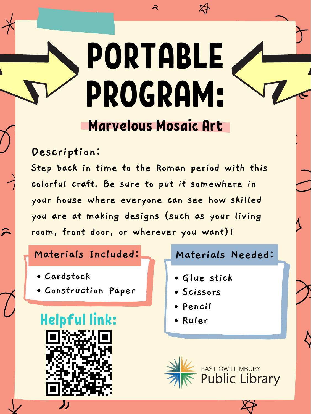## **Materials Included: Materials Needed:**

# Marvelous Mosaic Art PORTABLE PROGRAM:

**Description:**

- **Cardstock**
- **Construction Paper**

# Helpful link: **Ruler**



**Step back in time to the Roman period with this colorful craft. Be sure to put it somewhere in your house where everyone can see how skilled you are at making designs (such as your living room, front door, or wherever you want)!**

- **Glue stick**
- **Scissors**
- **Pencil**
-